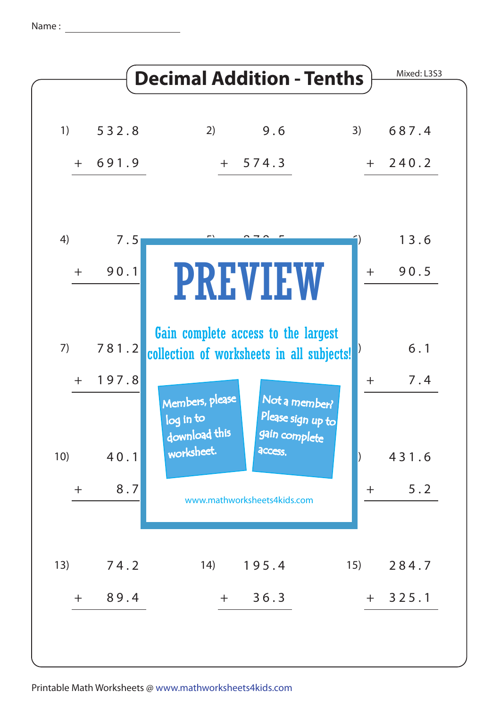